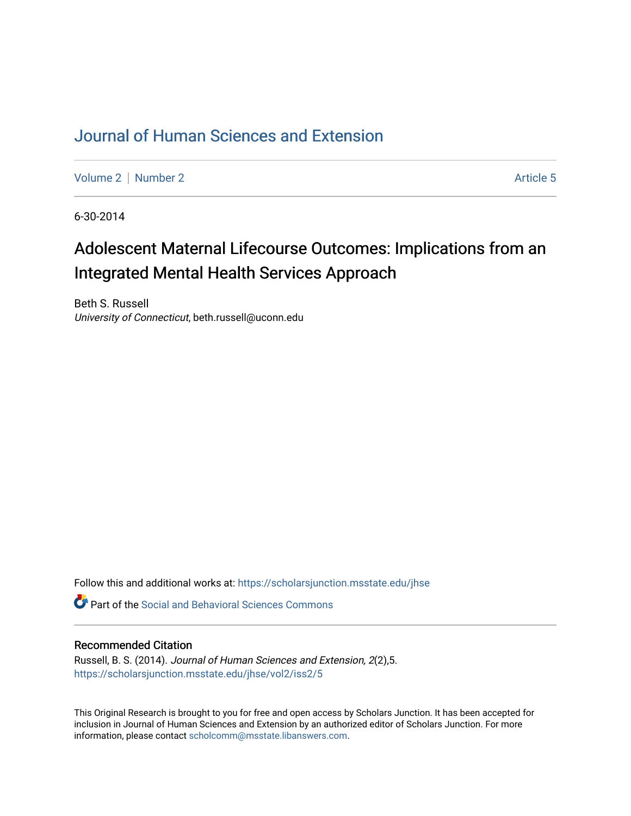# [Journal of Human Sciences and Extension](https://scholarsjunction.msstate.edu/jhse)

[Volume 2](https://scholarsjunction.msstate.edu/jhse/vol2) | [Number 2](https://scholarsjunction.msstate.edu/jhse/vol2/iss2) Article 5

6-30-2014

# Adolescent Maternal Lifecourse Outcomes: Implications from an Integrated Mental Health Services Approach

Beth S. Russell University of Connecticut, beth.russell@uconn.edu

Follow this and additional works at: [https://scholarsjunction.msstate.edu/jhse](https://scholarsjunction.msstate.edu/jhse?utm_source=scholarsjunction.msstate.edu%2Fjhse%2Fvol2%2Fiss2%2F5&utm_medium=PDF&utm_campaign=PDFCoverPages)

Part of the [Social and Behavioral Sciences Commons](http://network.bepress.com/hgg/discipline/316?utm_source=scholarsjunction.msstate.edu%2Fjhse%2Fvol2%2Fiss2%2F5&utm_medium=PDF&utm_campaign=PDFCoverPages) 

#### Recommended Citation

Russell, B. S. (2014). Journal of Human Sciences and Extension, 2(2),5. [https://scholarsjunction.msstate.edu/jhse/vol2/iss2/5](https://scholarsjunction.msstate.edu/jhse/vol2/iss2/5?utm_source=scholarsjunction.msstate.edu%2Fjhse%2Fvol2%2Fiss2%2F5&utm_medium=PDF&utm_campaign=PDFCoverPages)

This Original Research is brought to you for free and open access by Scholars Junction. It has been accepted for inclusion in Journal of Human Sciences and Extension by an authorized editor of Scholars Junction. For more information, please contact [scholcomm@msstate.libanswers.com](mailto:scholcomm@msstate.libanswers.com).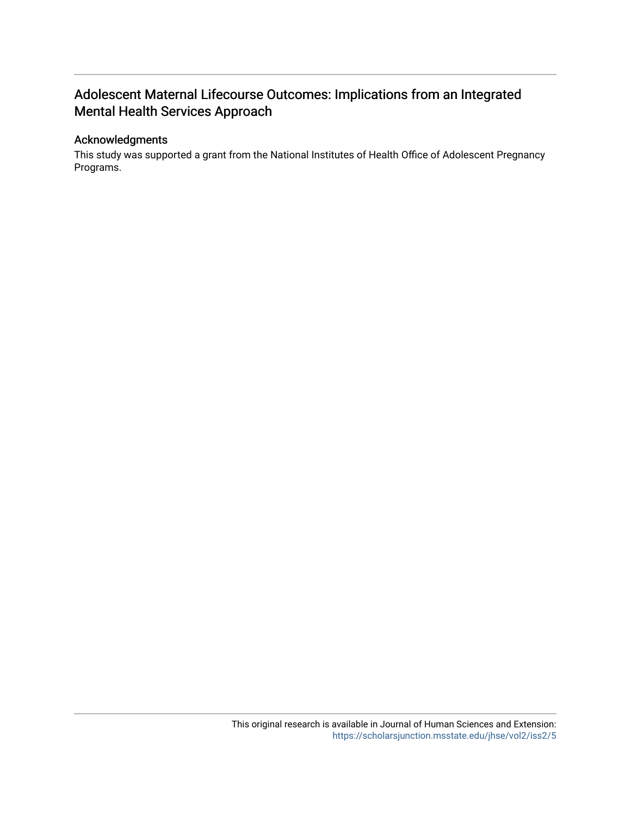# Adolescent Maternal Lifecourse Outcomes: Implications from an Integrated Mental Health Services Approach

# Acknowledgments

This study was supported a grant from the National Institutes of Health Office of Adolescent Pregnancy Programs.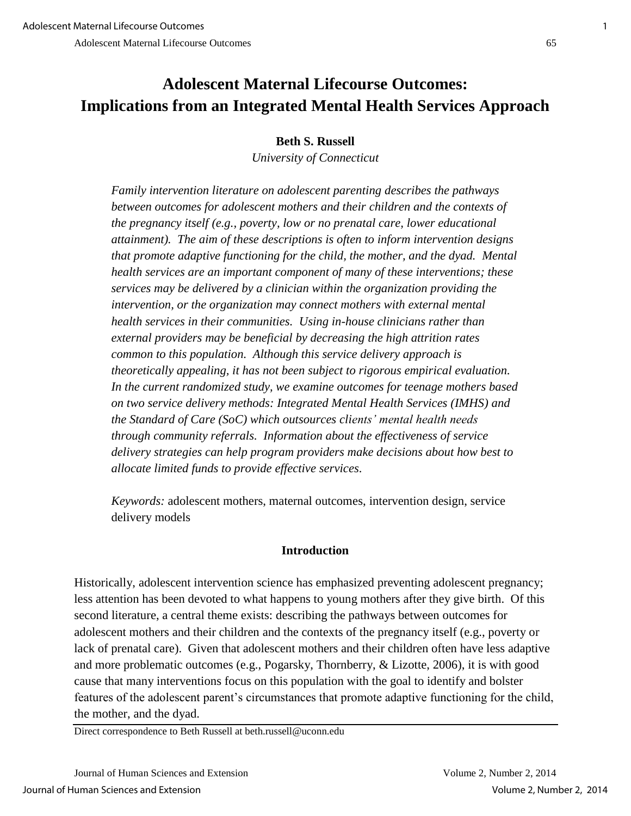# **Beth S. Russell**

*University of Connecticut* 

*Family intervention literature on adolescent parenting describes the pathways between outcomes for adolescent mothers and their children and the contexts of the pregnancy itself (e.g., poverty, low or no prenatal care, lower educational attainment). The aim of these descriptions is often to inform intervention designs that promote adaptive functioning for the child, the mother, and the dyad. Mental health services are an important component of many of these interventions; these services may be delivered by a clinician within the organization providing the intervention, or the organization may connect mothers with external mental health services in their communities. Using in-house clinicians rather than external providers may be beneficial by decreasing the high attrition rates common to this population. Although this service delivery approach is theoretically appealing, it has not been subject to rigorous empirical evaluation. In the current randomized study, we examine outcomes for teenage mothers based on two service delivery methods: Integrated Mental Health Services (IMHS) and the Standard of Care (SoC) which outsources clients' mental health needs through community referrals. Information about the effectiveness of service delivery strategies can help program providers make decisions about how best to allocate limited funds to provide effective services.*

*Keywords:* adolescent mothers, maternal outcomes, intervention design, service delivery models

# **Introduction**

Historically, adolescent intervention science has emphasized preventing adolescent pregnancy; less attention has been devoted to what happens to young mothers after they give birth. Of this second literature, a central theme exists: describing the pathways between outcomes for adolescent mothers and their children and the contexts of the pregnancy itself (e.g., poverty or lack of prenatal care). Given that adolescent mothers and their children often have less adaptive and more problematic outcomes (e.g., Pogarsky, Thornberry, & Lizotte, 2006), it is with good cause that many interventions focus on this population with the goal to identify and bolster features of the adolescent parent's circumstances that promote adaptive functioning for the child, the mother, and the dyad.

Direct correspondence to Beth Russell at beth.russell@uconn.edu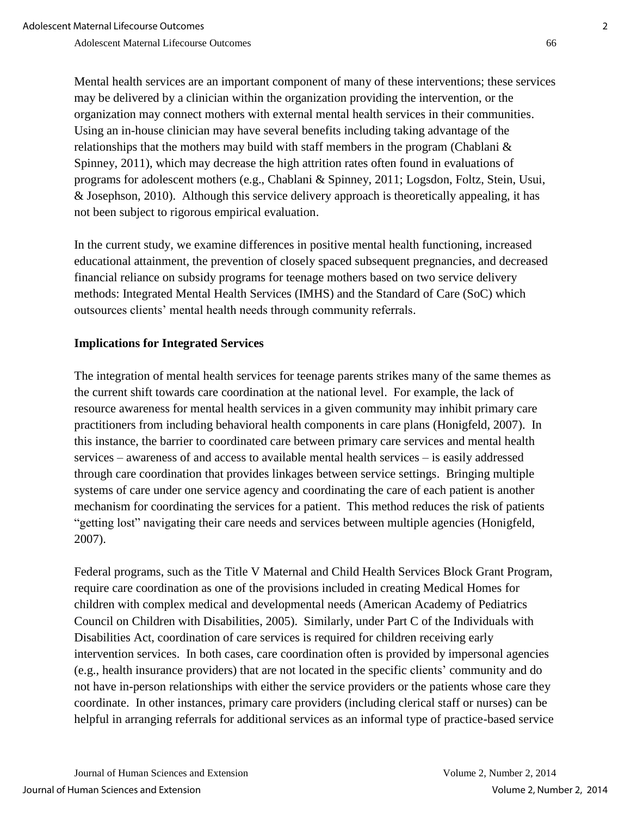Mental health services are an important component of many of these interventions; these services may be delivered by a clinician within the organization providing the intervention, or the organization may connect mothers with external mental health services in their communities. Using an in-house clinician may have several benefits including taking advantage of the relationships that the mothers may build with staff members in the program (Chablani  $\&$ Spinney, 2011), which may decrease the high attrition rates often found in evaluations of programs for adolescent mothers (e.g., Chablani & Spinney, 2011; Logsdon, Foltz, Stein, Usui, & Josephson, 2010). Although this service delivery approach is theoretically appealing, it has not been subject to rigorous empirical evaluation.

In the current study, we examine differences in positive mental health functioning, increased educational attainment, the prevention of closely spaced subsequent pregnancies, and decreased financial reliance on subsidy programs for teenage mothers based on two service delivery methods: Integrated Mental Health Services (IMHS) and the Standard of Care (SoC) which outsources clients' mental health needs through community referrals.

# **Implications for Integrated Services**

The integration of mental health services for teenage parents strikes many of the same themes as the current shift towards care coordination at the national level. For example, the lack of resource awareness for mental health services in a given community may inhibit primary care practitioners from including behavioral health components in care plans (Honigfeld, 2007). In this instance, the barrier to coordinated care between primary care services and mental health services – awareness of and access to available mental health services – is easily addressed through care coordination that provides linkages between service settings. Bringing multiple systems of care under one service agency and coordinating the care of each patient is another mechanism for coordinating the services for a patient. This method reduces the risk of patients "getting lost" navigating their care needs and services between multiple agencies (Honigfeld, 2007).

Federal programs, such as the Title V Maternal and Child Health Services Block Grant Program, require care coordination as one of the provisions included in creating Medical Homes for children with complex medical and developmental needs (American Academy of Pediatrics Council on Children with Disabilities, 2005). Similarly, under Part C of the Individuals with Disabilities Act, coordination of care services is required for children receiving early intervention services. In both cases, care coordination often is provided by impersonal agencies (e.g., health insurance providers) that are not located in the specific clients' community and do not have in-person relationships with either the service providers or the patients whose care they coordinate. In other instances, primary care providers (including clerical staff or nurses) can be helpful in arranging referrals for additional services as an informal type of practice-based service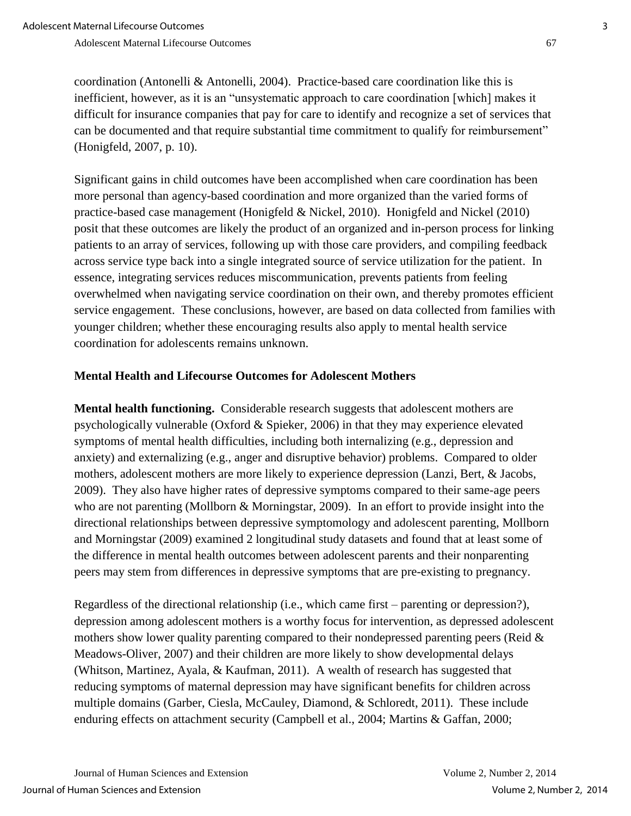coordination (Antonelli & Antonelli, 2004). Practice-based care coordination like this is inefficient, however, as it is an "unsystematic approach to care coordination [which] makes it difficult for insurance companies that pay for care to identify and recognize a set of services that can be documented and that require substantial time commitment to qualify for reimbursement" (Honigfeld, 2007, p. 10).

Significant gains in child outcomes have been accomplished when care coordination has been more personal than agency-based coordination and more organized than the varied forms of practice-based case management (Honigfeld & Nickel, 2010). Honigfeld and Nickel (2010) posit that these outcomes are likely the product of an organized and in-person process for linking patients to an array of services, following up with those care providers, and compiling feedback across service type back into a single integrated source of service utilization for the patient. In essence, integrating services reduces miscommunication, prevents patients from feeling overwhelmed when navigating service coordination on their own, and thereby promotes efficient service engagement. These conclusions, however, are based on data collected from families with younger children; whether these encouraging results also apply to mental health service coordination for adolescents remains unknown.

# **Mental Health and Lifecourse Outcomes for Adolescent Mothers**

**Mental health functioning.** Considerable research suggests that adolescent mothers are psychologically vulnerable (Oxford & Spieker, 2006) in that they may experience elevated symptoms of mental health difficulties, including both internalizing (e.g., depression and anxiety) and externalizing (e.g., anger and disruptive behavior) problems. Compared to older mothers, adolescent mothers are more likely to experience depression (Lanzi, Bert, & Jacobs, 2009). They also have higher rates of depressive symptoms compared to their same-age peers who are not parenting (Mollborn & Morningstar, 2009). In an effort to provide insight into the directional relationships between depressive symptomology and adolescent parenting, Mollborn and Morningstar (2009) examined 2 longitudinal study datasets and found that at least some of the difference in mental health outcomes between adolescent parents and their nonparenting peers may stem from differences in depressive symptoms that are pre-existing to pregnancy.

Regardless of the directional relationship (i.e., which came first – parenting or depression?), depression among adolescent mothers is a worthy focus for intervention, as depressed adolescent mothers show lower quality parenting compared to their nondepressed parenting peers (Reid & Meadows-Oliver, 2007) and their children are more likely to show developmental delays (Whitson, Martinez, Ayala, & Kaufman, 2011). A wealth of research has suggested that reducing symptoms of maternal depression may have significant benefits for children across multiple domains (Garber, Ciesla, McCauley, Diamond, & Schloredt, 2011). These include enduring effects on attachment security (Campbell et al., 2004; Martins & Gaffan, 2000;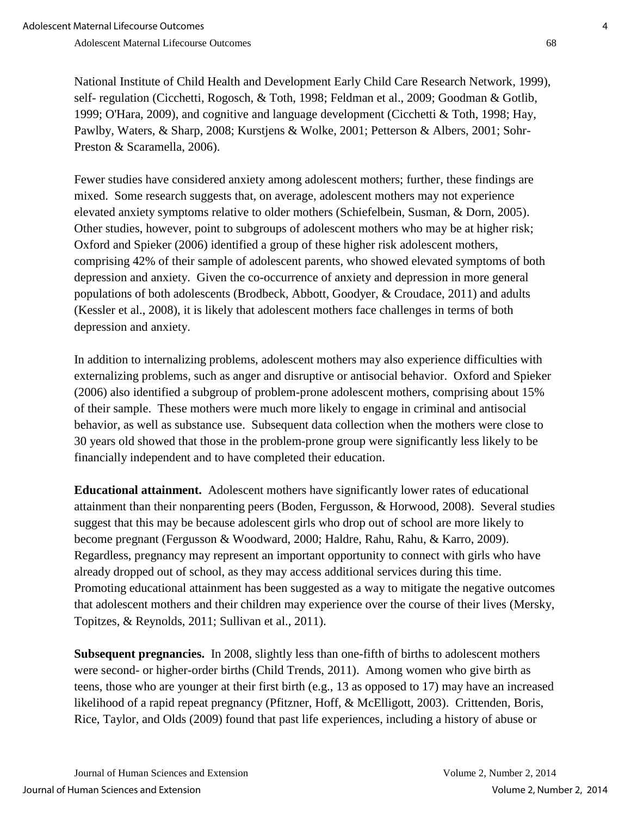National Institute of Child Health and Development Early Child Care Research Network, 1999), self- regulation (Cicchetti, Rogosch, & Toth, 1998; Feldman et al., 2009; Goodman & Gotlib, 1999; O'Hara, 2009), and cognitive and language development (Cicchetti & Toth, 1998; Hay, Pawlby, Waters, & Sharp, 2008; Kurstjens & Wolke, 2001; Petterson & Albers, 2001; Sohr-Preston & Scaramella, 2006).

Fewer studies have considered anxiety among adolescent mothers; further, these findings are mixed. Some research suggests that, on average, adolescent mothers may not experience elevated anxiety symptoms relative to older mothers (Schiefelbein, Susman, & Dorn, 2005). Other studies, however, point to subgroups of adolescent mothers who may be at higher risk; Oxford and Spieker (2006) identified a group of these higher risk adolescent mothers, comprising 42% of their sample of adolescent parents, who showed elevated symptoms of both depression and anxiety. Given the co-occurrence of anxiety and depression in more general populations of both adolescents (Brodbeck, Abbott, Goodyer, & Croudace, 2011) and adults (Kessler et al., 2008), it is likely that adolescent mothers face challenges in terms of both depression and anxiety.

In addition to internalizing problems, adolescent mothers may also experience difficulties with externalizing problems, such as anger and disruptive or antisocial behavior. Oxford and Spieker (2006) also identified a subgroup of problem-prone adolescent mothers, comprising about 15% of their sample. These mothers were much more likely to engage in criminal and antisocial behavior, as well as substance use. Subsequent data collection when the mothers were close to 30 years old showed that those in the problem-prone group were significantly less likely to be financially independent and to have completed their education.

**Educational attainment.** Adolescent mothers have significantly lower rates of educational attainment than their nonparenting peers (Boden, Fergusson, & Horwood, 2008). Several studies suggest that this may be because adolescent girls who drop out of school are more likely to become pregnant (Fergusson & Woodward, 2000; Haldre, Rahu, Rahu, & Karro, 2009). Regardless, pregnancy may represent an important opportunity to connect with girls who have already dropped out of school, as they may access additional services during this time. Promoting educational attainment has been suggested as a way to mitigate the negative outcomes that adolescent mothers and their children may experience over the course of their lives (Mersky, Topitzes, & Reynolds, 2011; Sullivan et al., 2011).

**Subsequent pregnancies.** In 2008, slightly less than one-fifth of births to adolescent mothers were second- or higher-order births (Child Trends, 2011). Among women who give birth as teens, those who are younger at their first birth (e.g., 13 as opposed to 17) may have an increased likelihood of a rapid repeat pregnancy (Pfitzner, Hoff, & McElligott, 2003). Crittenden, Boris, Rice, Taylor, and Olds (2009) found that past life experiences, including a history of abuse or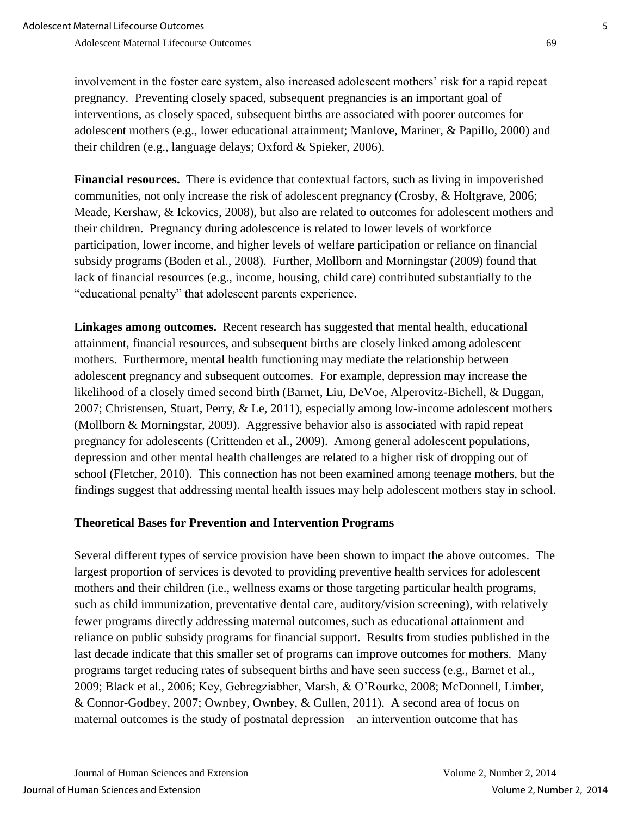involvement in the foster care system, also increased adolescent mothers' risk for a rapid repeat pregnancy. Preventing closely spaced, subsequent pregnancies is an important goal of interventions, as closely spaced, subsequent births are associated with poorer outcomes for adolescent mothers (e.g., lower educational attainment; Manlove, Mariner, & Papillo, 2000) and their children (e.g., language delays; Oxford & Spieker, 2006).

**Financial resources.** There is evidence that contextual factors, such as living in impoverished communities, not only increase the risk of adolescent pregnancy (Crosby, & Holtgrave, 2006; Meade, Kershaw, & Ickovics, 2008), but also are related to outcomes for adolescent mothers and their children. Pregnancy during adolescence is related to lower levels of workforce participation, lower income, and higher levels of welfare participation or reliance on financial subsidy programs (Boden et al., 2008). Further, Mollborn and Morningstar (2009) found that lack of financial resources (e.g., income, housing, child care) contributed substantially to the "educational penalty" that adolescent parents experience.

**Linkages among outcomes.** Recent research has suggested that mental health, educational attainment, financial resources, and subsequent births are closely linked among adolescent mothers. Furthermore, mental health functioning may mediate the relationship between adolescent pregnancy and subsequent outcomes. For example, depression may increase the likelihood of a closely timed second birth (Barnet, Liu, DeVoe, Alperovitz-Bichell, & Duggan, 2007; Christensen, Stuart, Perry, & Le, 2011), especially among low-income adolescent mothers (Mollborn & Morningstar, 2009). Aggressive behavior also is associated with rapid repeat pregnancy for adolescents (Crittenden et al., 2009). Among general adolescent populations, depression and other mental health challenges are related to a higher risk of dropping out of school (Fletcher, 2010). This connection has not been examined among teenage mothers, but the findings suggest that addressing mental health issues may help adolescent mothers stay in school.

# **Theoretical Bases for Prevention and Intervention Programs**

Several different types of service provision have been shown to impact the above outcomes. The largest proportion of services is devoted to providing preventive health services for adolescent mothers and their children (i.e., wellness exams or those targeting particular health programs, such as child immunization, preventative dental care, auditory/vision screening), with relatively fewer programs directly addressing maternal outcomes, such as educational attainment and reliance on public subsidy programs for financial support. Results from studies published in the last decade indicate that this smaller set of programs can improve outcomes for mothers. Many programs target reducing rates of subsequent births and have seen success (e.g., Barnet et al., 2009; Black et al., 2006; Key, Gebregziabher, Marsh, & O'Rourke, 2008; McDonnell, Limber, & Connor-Godbey, 2007; Ownbey, Ownbey, & Cullen, 2011). A second area of focus on maternal outcomes is the study of postnatal depression – an intervention outcome that has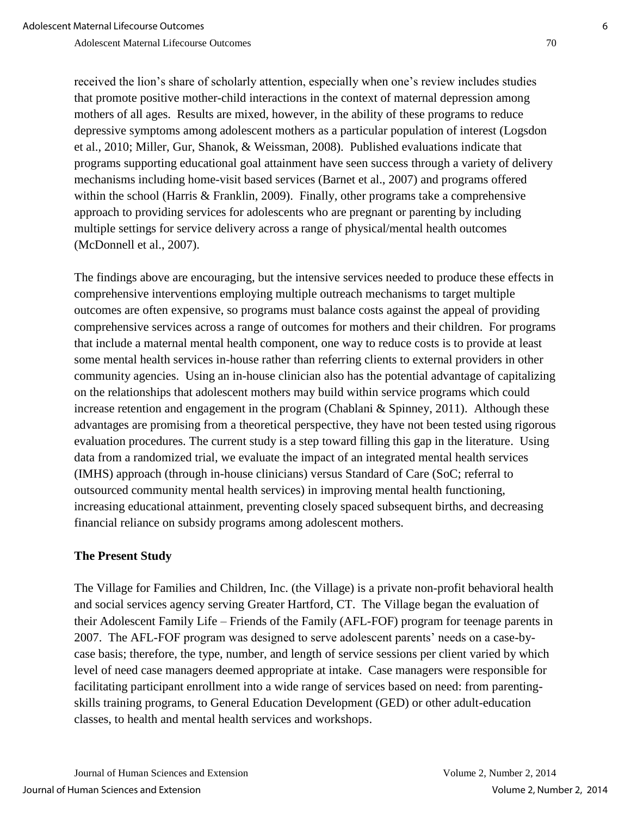received the lion's share of scholarly attention, especially when one's review includes studies that promote positive mother-child interactions in the context of maternal depression among mothers of all ages. Results are mixed, however, in the ability of these programs to reduce depressive symptoms among adolescent mothers as a particular population of interest (Logsdon et al., 2010; Miller, Gur, Shanok, & Weissman, 2008). Published evaluations indicate that programs supporting educational goal attainment have seen success through a variety of delivery mechanisms including home-visit based services (Barnet et al., 2007) and programs offered within the school (Harris & Franklin, 2009). Finally, other programs take a comprehensive approach to providing services for adolescents who are pregnant or parenting by including multiple settings for service delivery across a range of physical/mental health outcomes (McDonnell et al., 2007).

The findings above are encouraging, but the intensive services needed to produce these effects in comprehensive interventions employing multiple outreach mechanisms to target multiple outcomes are often expensive, so programs must balance costs against the appeal of providing comprehensive services across a range of outcomes for mothers and their children. For programs that include a maternal mental health component, one way to reduce costs is to provide at least some mental health services in-house rather than referring clients to external providers in other community agencies. Using an in-house clinician also has the potential advantage of capitalizing on the relationships that adolescent mothers may build within service programs which could increase retention and engagement in the program (Chablani & Spinney, 2011). Although these advantages are promising from a theoretical perspective, they have not been tested using rigorous evaluation procedures. The current study is a step toward filling this gap in the literature. Using data from a randomized trial, we evaluate the impact of an integrated mental health services (IMHS) approach (through in-house clinicians) versus Standard of Care (SoC; referral to outsourced community mental health services) in improving mental health functioning, increasing educational attainment, preventing closely spaced subsequent births, and decreasing financial reliance on subsidy programs among adolescent mothers.

# **The Present Study**

The Village for Families and Children, Inc. (the Village) is a private non-profit behavioral health and social services agency serving Greater Hartford, CT. The Village began the evaluation of their Adolescent Family Life – Friends of the Family (AFL-FOF) program for teenage parents in 2007. The AFL-FOF program was designed to serve adolescent parents' needs on a case-bycase basis; therefore, the type, number, and length of service sessions per client varied by which level of need case managers deemed appropriate at intake. Case managers were responsible for facilitating participant enrollment into a wide range of services based on need: from parentingskills training programs, to General Education Development (GED) or other adult-education classes, to health and mental health services and workshops.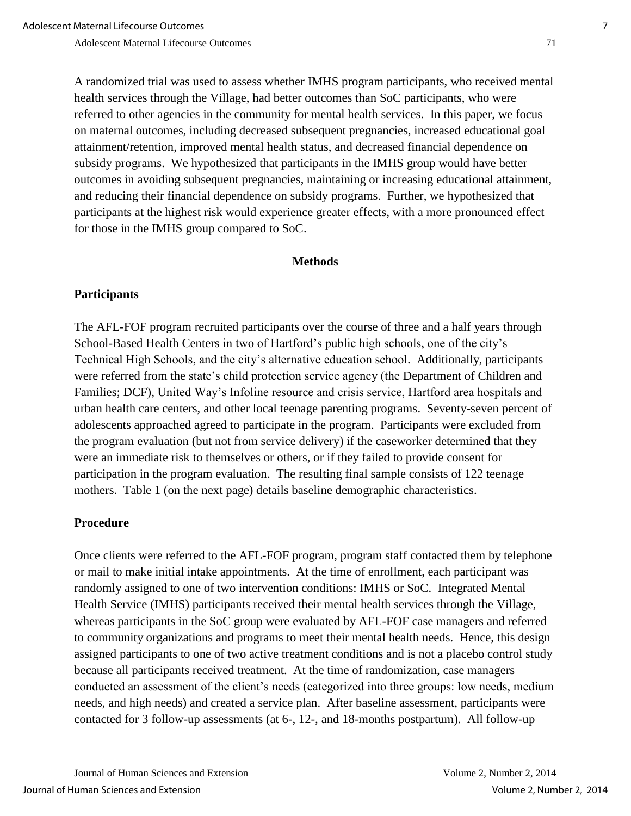A randomized trial was used to assess whether IMHS program participants, who received mental health services through the Village, had better outcomes than SoC participants, who were referred to other agencies in the community for mental health services. In this paper, we focus on maternal outcomes, including decreased subsequent pregnancies, increased educational goal attainment/retention, improved mental health status, and decreased financial dependence on subsidy programs. We hypothesized that participants in the IMHS group would have better outcomes in avoiding subsequent pregnancies, maintaining or increasing educational attainment, and reducing their financial dependence on subsidy programs. Further, we hypothesized that participants at the highest risk would experience greater effects, with a more pronounced effect for those in the IMHS group compared to SoC.

#### **Methods**

# **Participants**

The AFL-FOF program recruited participants over the course of three and a half years through School-Based Health Centers in two of Hartford's public high schools, one of the city's Technical High Schools, and the city's alternative education school. Additionally, participants were referred from the state's child protection service agency (the Department of Children and Families; DCF), United Way's Infoline resource and crisis service, Hartford area hospitals and urban health care centers, and other local teenage parenting programs. Seventy-seven percent of adolescents approached agreed to participate in the program. Participants were excluded from the program evaluation (but not from service delivery) if the caseworker determined that they were an immediate risk to themselves or others, or if they failed to provide consent for participation in the program evaluation. The resulting final sample consists of 122 teenage mothers. Table 1 (on the next page) details baseline demographic characteristics.

#### **Procedure**

Once clients were referred to the AFL-FOF program, program staff contacted them by telephone or mail to make initial intake appointments. At the time of enrollment, each participant was randomly assigned to one of two intervention conditions: IMHS or SoC. Integrated Mental Health Service (IMHS) participants received their mental health services through the Village, whereas participants in the SoC group were evaluated by AFL-FOF case managers and referred to community organizations and programs to meet their mental health needs. Hence, this design assigned participants to one of two active treatment conditions and is not a placebo control study because all participants received treatment. At the time of randomization, case managers conducted an assessment of the client's needs (categorized into three groups: low needs, medium needs, and high needs) and created a service plan. After baseline assessment, participants were contacted for 3 follow-up assessments (at 6-, 12-, and 18-months postpartum). All follow-up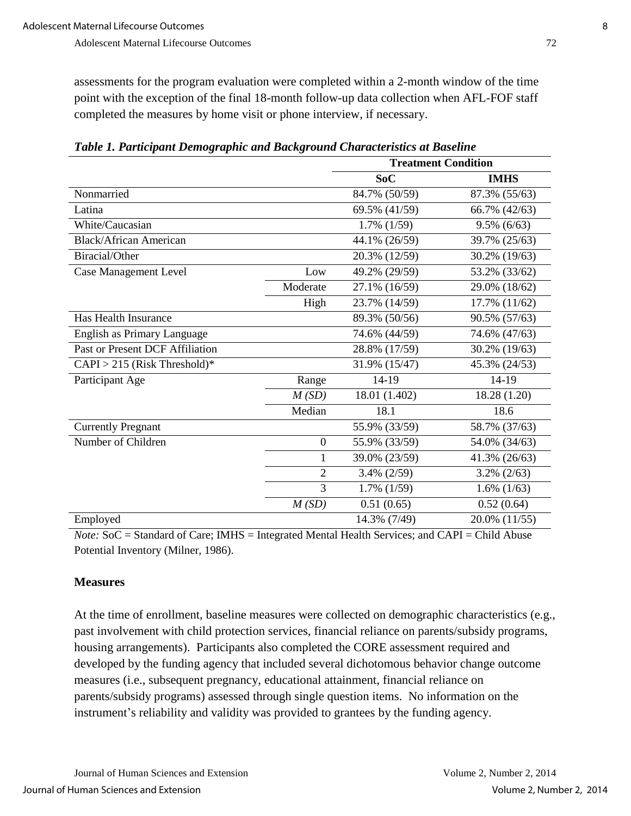assessments for the program evaluation were completed within a 2-month window of the time point with the exception of the final 18-month follow-up data collection when AFL-FOF staff completed the measures by home visit or phone interview, if necessary.

|                                 |                  | <b>Treatment Condition</b> |                |  |
|---------------------------------|------------------|----------------------------|----------------|--|
|                                 |                  | SoC                        | <b>IMHS</b>    |  |
| Nonmarried                      |                  | 84.7% (50/59)              | 87.3% (55/63)  |  |
| Latina                          |                  | 69.5% (41/59)              | 66.7% (42/63)  |  |
| White/Caucasian                 |                  | $1.7\%$ $(1/59)$           | $9.5\%$ (6/63) |  |
| <b>Black/African American</b>   |                  | 44.1% (26/59)              | 39.7% (25/63)  |  |
| Biracial/Other                  |                  | 20.3% (12/59)              | 30.2% (19/63)  |  |
| <b>Case Management Level</b>    | Low              | 49.2% (29/59)              | 53.2% (33/62)  |  |
|                                 | Moderate         | 27.1% (16/59)              | 29.0% (18/62)  |  |
|                                 | High             | 23.7% (14/59)              | 17.7% (11/62)  |  |
| Has Health Insurance            |                  | 89.3% (50/56)              | 90.5% (57/63)  |  |
| English as Primary Language     |                  | 74.6% (44/59)              | 74.6% (47/63)  |  |
| Past or Present DCF Affiliation |                  | 28.8% (17/59)              | 30.2% (19/63)  |  |
| $CAPI > 215$ (Risk Threshold)*  |                  | 31.9% (15/47)              | 45.3% (24/53)  |  |
| Participant Age                 | Range            | 14-19                      | 14-19          |  |
|                                 | M(SD)            | 18.01 (1.402)              | 18.28 (1.20)   |  |
|                                 | Median           | 18.1                       | 18.6           |  |
| <b>Currently Pregnant</b>       |                  | 55.9% (33/59)              | 58.7% (37/63)  |  |
| Number of Children              | $\boldsymbol{0}$ | 55.9% (33/59)              | 54.0% (34/63)  |  |
|                                 | 1                | 39.0% (23/59)              | 41.3% (26/63)  |  |
|                                 | $\overline{2}$   | $3.4\% (2/59)$             | $3.2\%$ (2/63) |  |
|                                 | 3                | $1.7\%$ $(1/59)$           | $1.6\%$ (1/63) |  |
|                                 | M(SD)            | 0.51(0.65)                 | 0.52(0.64)     |  |
| Employed                        |                  | 14.3% (7/49)               | 20.0% (11/55)  |  |

*Table 1. Participant Demographic and Background Characteristics at Baseline*

*Note:* SoC = Standard of Care; IMHS = Integrated Mental Health Services; and CAPI = Child Abuse Potential Inventory (Milner, 1986).

#### **Measures**

At the time of enrollment, baseline measures were collected on demographic characteristics (e.g., past involvement with child protection services, financial reliance on parents/subsidy programs, housing arrangements). Participants also completed the CORE assessment required and developed by the funding agency that included several dichotomous behavior change outcome measures (i.e., subsequent pregnancy, educational attainment, financial reliance on parents/subsidy programs) assessed through single question items. No information on the instrument's reliability and validity was provided to grantees by the funding agency.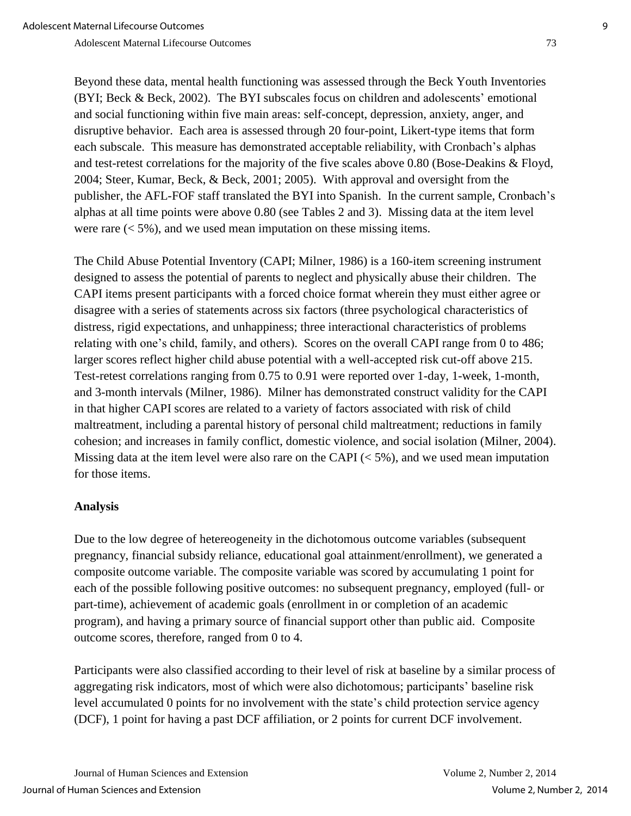Beyond these data, mental health functioning was assessed through the Beck Youth Inventories (BYI; Beck & Beck, 2002). The BYI subscales focus on children and adolescents' emotional and social functioning within five main areas: self-concept, depression, anxiety, anger, and disruptive behavior. Each area is assessed through 20 four-point, Likert-type items that form each subscale. This measure has demonstrated acceptable reliability, with Cronbach's alphas and test-retest correlations for the majority of the five scales above 0.80 (Bose-Deakins & Floyd, 2004; Steer, Kumar, Beck, & Beck, 2001; 2005). With approval and oversight from the publisher, the AFL-FOF staff translated the BYI into Spanish. In the current sample, Cronbach's alphas at all time points were above 0.80 (see Tables 2 and 3). Missing data at the item level were rare  $(< 5\%)$ , and we used mean imputation on these missing items.

The Child Abuse Potential Inventory (CAPI; Milner, 1986) is a 160-item screening instrument designed to assess the potential of parents to neglect and physically abuse their children. The CAPI items present participants with a forced choice format wherein they must either agree or disagree with a series of statements across six factors (three psychological characteristics of distress, rigid expectations, and unhappiness; three interactional characteristics of problems relating with one's child, family, and others). Scores on the overall CAPI range from 0 to 486; larger scores reflect higher child abuse potential with a well-accepted risk cut-off above 215. Test-retest correlations ranging from 0.75 to 0.91 were reported over 1-day, 1-week, 1-month, and 3-month intervals (Milner, 1986). Milner has demonstrated construct validity for the CAPI in that higher CAPI scores are related to a variety of factors associated with risk of child maltreatment, including a parental history of personal child maltreatment; reductions in family cohesion; and increases in family conflict, domestic violence, and social isolation (Milner, 2004). Missing data at the item level were also rare on the CAPI  $(< 5\%)$ , and we used mean imputation for those items.

# **Analysis**

Due to the low degree of hetereogeneity in the dichotomous outcome variables (subsequent pregnancy, financial subsidy reliance, educational goal attainment/enrollment), we generated a composite outcome variable. The composite variable was scored by accumulating 1 point for each of the possible following positive outcomes: no subsequent pregnancy, employed (full- or part-time), achievement of academic goals (enrollment in or completion of an academic program), and having a primary source of financial support other than public aid. Composite outcome scores, therefore, ranged from 0 to 4.

Participants were also classified according to their level of risk at baseline by a similar process of aggregating risk indicators, most of which were also dichotomous; participants' baseline risk level accumulated 0 points for no involvement with the state's child protection service agency (DCF), 1 point for having a past DCF affiliation, or 2 points for current DCF involvement.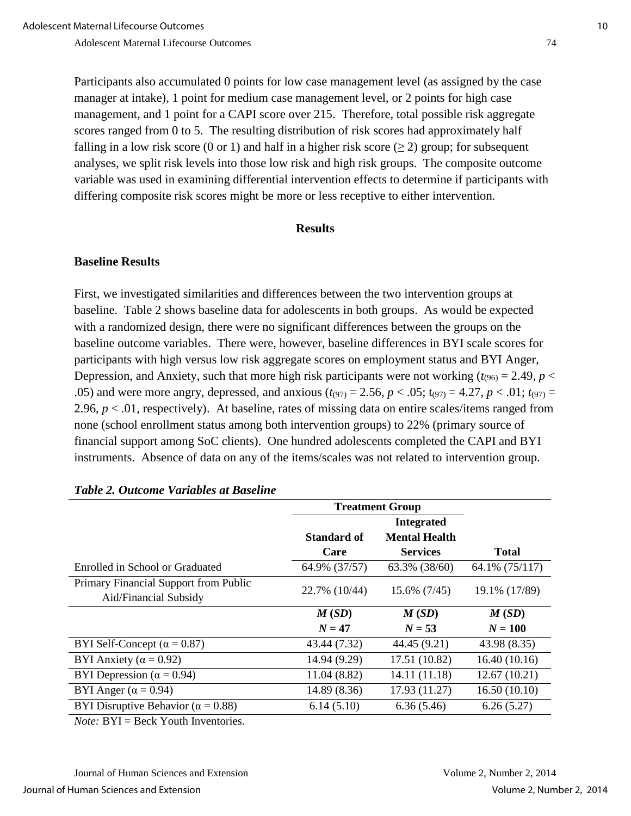Participants also accumulated 0 points for low case management level (as assigned by the case manager at intake), 1 point for medium case management level, or 2 points for high case management, and 1 point for a CAPI score over 215. Therefore, total possible risk aggregate scores ranged from 0 to 5. The resulting distribution of risk scores had approximately half falling in a low risk score (0 or 1) and half in a higher risk score  $(\geq 2)$  group; for subsequent analyses, we split risk levels into those low risk and high risk groups. The composite outcome variable was used in examining differential intervention effects to determine if participants with differing composite risk scores might be more or less receptive to either intervention.

#### **Results**

#### **Baseline Results**

First, we investigated similarities and differences between the two intervention groups at baseline. Table 2 shows baseline data for adolescents in both groups. As would be expected with a randomized design, there were no significant differences between the groups on the baseline outcome variables. There were, however, baseline differences in BYI scale scores for participants with high versus low risk aggregate scores on employment status and BYI Anger, Depression, and Anxiety, such that more high risk participants were not working  $(t_{.96)} = 2.49$ ,  $p <$ .05) and were more angry, depressed, and anxious ( $t_{(97)} = 2.56$ ,  $p < .05$ ;  $t_{(97)} = 4.27$ ,  $p < .01$ ;  $t_{(97)} =$ 2.96, *p* < .01, respectively). At baseline, rates of missing data on entire scales/items ranged from none (school enrollment status among both intervention groups) to 22% (primary source of financial support among SoC clients). One hundred adolescents completed the CAPI and BYI instruments. Absence of data on any of the items/scales was not related to intervention group.

|                                             | <b>Treatment Group</b> |                      |                |  |
|---------------------------------------------|------------------------|----------------------|----------------|--|
|                                             | <b>Integrated</b>      |                      |                |  |
|                                             | <b>Standard of</b>     | <b>Mental Health</b> |                |  |
|                                             | Care                   | <b>Services</b>      | <b>Total</b>   |  |
| Enrolled in School or Graduated             | 64.9% (37/57)          | 63.3% (38/60)        | 64.1% (75/117) |  |
| Primary Financial Support from Public       | 22.7% (10/44)          | 15.6% (7/45)         | 19.1% (17/89)  |  |
| Aid/Financial Subsidy                       |                        |                      |                |  |
|                                             | M(SD)                  | M(SD)                | M(SD)          |  |
|                                             | $N = 47$               | $N = 53$             | $N = 100$      |  |
| BYI Self-Concept ( $\alpha = 0.87$ )        | 43.44 (7.32)           | 44.45 (9.21)         | 43.98 (8.35)   |  |
| BYI Anxiety ( $\alpha = 0.92$ )             | 14.94 (9.29)           | 17.51 (10.82)        | 16.40(10.16)   |  |
| BYI Depression ( $\alpha$ = 0.94)           | 11.04 (8.82)           | 14.11 (11.18)        | 12.67(10.21)   |  |
| BYI Anger ( $\alpha$ = 0.94)                | 14.89 (8.36)           | 17.93 (11.27)        | 16.50(10.10)   |  |
| BYI Disruptive Behavior ( $\alpha = 0.88$ ) | 6.14(5.10)             | 6.36(5.46)           | 6.26(5.27)     |  |
| $\sim$ $\sim$ $\sim$ $\sim$ $\sim$ $\sim$   |                        |                      |                |  |

#### *Table 2. Outcome Variables at Baseline*

*Note:* BYI = Beck Youth Inventories.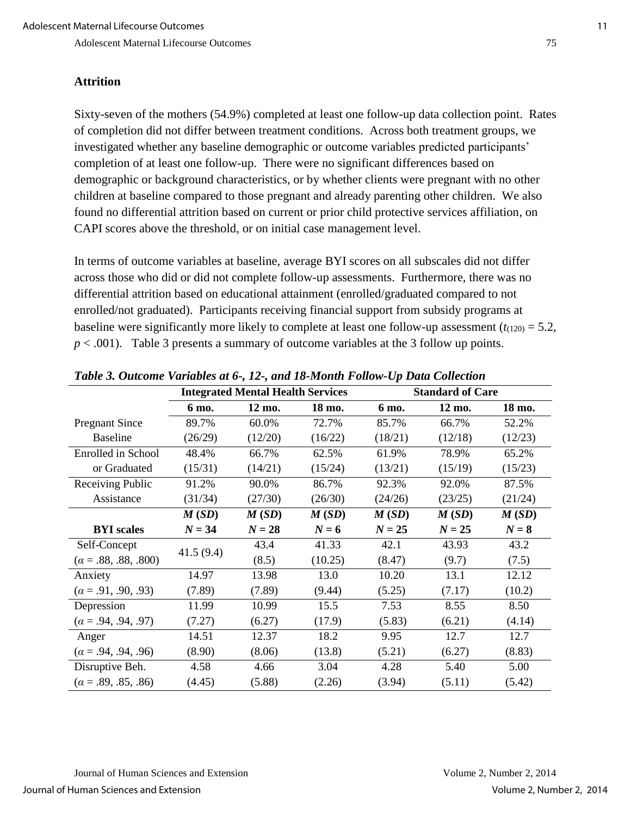#### **Attrition**

Sixty-seven of the mothers (54.9%) completed at least one follow-up data collection point. Rates of completion did not differ between treatment conditions. Across both treatment groups, we investigated whether any baseline demographic or outcome variables predicted participants' completion of at least one follow-up. There were no significant differences based on demographic or background characteristics, or by whether clients were pregnant with no other children at baseline compared to those pregnant and already parenting other children. We also found no differential attrition based on current or prior child protective services affiliation, on CAPI scores above the threshold, or on initial case management level.

In terms of outcome variables at baseline, average BYI scores on all subscales did not differ across those who did or did not complete follow-up assessments. Furthermore, there was no differential attrition based on educational attainment (enrolled/graduated compared to not enrolled/not graduated). Participants receiving financial support from subsidy programs at baseline were significantly more likely to complete at least one follow-up assessment  $(t_{(120)} = 5.2$ ,  $p < .001$ ). Table 3 presents a summary of outcome variables at the 3 follow up points.

|                             | <b>Integrated Mental Health Services</b> |          |         | <b>Standard of Care</b> |          |         |
|-----------------------------|------------------------------------------|----------|---------|-------------------------|----------|---------|
|                             | 6 mo.                                    | 12 mo.   | 18 mo.  | 6 mo.                   | 12 mo.   | 18 mo.  |
| <b>Pregnant Since</b>       | 89.7%                                    | 60.0%    | 72.7%   | 85.7%                   | 66.7%    | 52.2%   |
| <b>Baseline</b>             | (26/29)                                  | (12/20)  | (16/22) | (18/21)                 | (12/18)  | (12/23) |
| <b>Enrolled</b> in School   | 48.4%                                    | 66.7%    | 62.5%   | 61.9%                   | 78.9%    | 65.2%   |
| or Graduated                | (15/31)                                  | (14/21)  | (15/24) | (13/21)                 | (15/19)  | (15/23) |
| Receiving Public            | 91.2%                                    | 90.0%    | 86.7%   | 92.3%                   | 92.0%    | 87.5%   |
| Assistance                  | (31/34)                                  | (27/30)  | (26/30) | (24/26)                 | (23/25)  | (21/24) |
|                             | M(SD)                                    | M(SD)    | M(SD)   | M(SD)                   | M(SD)    | M(SD)   |
| <b>BYI</b> scales           | $N = 34$                                 | $N = 28$ | $N=6$   | $N = 25$                | $N = 25$ | $N=8$   |
| Self-Concept                | 41.5(9.4)                                | 43.4     | 41.33   | 42.1                    | 43.93    | 43.2    |
| $(\alpha = .88, .88, .800)$ |                                          | (8.5)    | (10.25) | (8.47)                  | (9.7)    | (7.5)   |
| Anxiety                     | 14.97                                    | 13.98    | 13.0    | 10.20                   | 13.1     | 12.12   |
| $(\alpha = .91, .90, .93)$  | (7.89)                                   | (7.89)   | (9.44)  | (5.25)                  | (7.17)   | (10.2)  |
| Depression                  | 11.99                                    | 10.99    | 15.5    | 7.53                    | 8.55     | 8.50    |
| $(\alpha = .94, .94, .97)$  | (7.27)                                   | (6.27)   | (17.9)  | (5.83)                  | (6.21)   | (4.14)  |
| Anger                       | 14.51                                    | 12.37    | 18.2    | 9.95                    | 12.7     | 12.7    |
| $(\alpha = .94, .94, .96)$  | (8.90)                                   | (8.06)   | (13.8)  | (5.21)                  | (6.27)   | (8.83)  |
| Disruptive Beh.             | 4.58                                     | 4.66     | 3.04    | 4.28                    | 5.40     | 5.00    |
| $(a = .89, .85, .86)$       | (4.45)                                   | (5.88)   | (2.26)  | (3.94)                  | (5.11)   | (5.42)  |

*Table 3. Outcome Variables at 6-, 12-, and 18-Month Follow-Up Data Collection*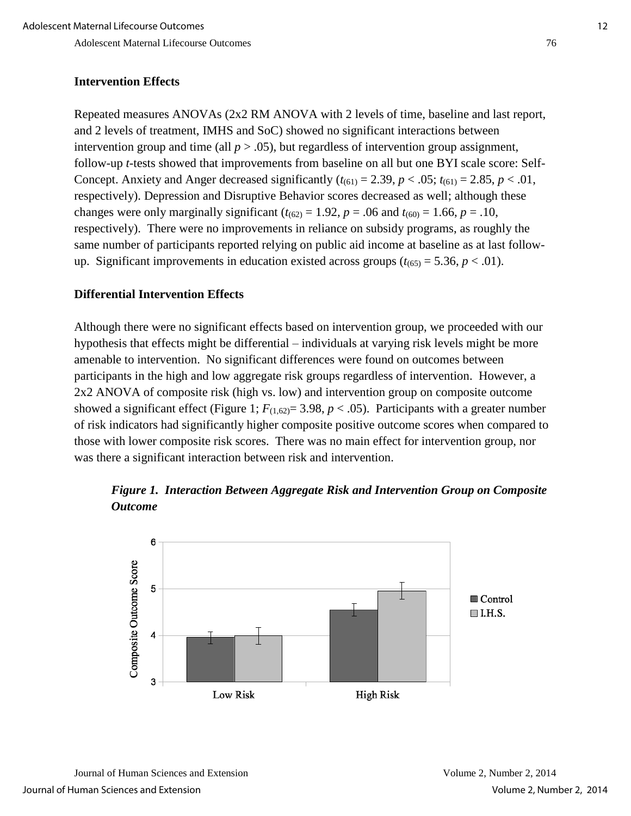# **Intervention Effects**

Repeated measures ANOVAs (2x2 RM ANOVA with 2 levels of time, baseline and last report, and 2 levels of treatment, IMHS and SoC) showed no significant interactions between intervention group and time (all  $p > .05$ ), but regardless of intervention group assignment, follow-up *t*-tests showed that improvements from baseline on all but one BYI scale score: Self-Concept. Anxiety and Anger decreased significantly  $(t_{(61)} = 2.39, p < .05; t_{(61)} = 2.85, p < .01$ , respectively). Depression and Disruptive Behavior scores decreased as well; although these changes were only marginally significant ( $t_{(62)} = 1.92$ ,  $p = .06$  and  $t_{(60)} = 1.66$ ,  $p = .10$ , respectively). There were no improvements in reliance on subsidy programs, as roughly the same number of participants reported relying on public aid income at baseline as at last followup. Significant improvements in education existed across groups  $(t_{(65)} = 5.36, p < .01)$ .

# **Differential Intervention Effects**

Although there were no significant effects based on intervention group, we proceeded with our hypothesis that effects might be differential – individuals at varying risk levels might be more amenable to intervention. No significant differences were found on outcomes between participants in the high and low aggregate risk groups regardless of intervention. However, a 2x2 ANOVA of composite risk (high vs. low) and intervention group on composite outcome showed a significant effect (Figure 1;  $F_{(1,62)} = 3.98$ ,  $p < .05$ ). Participants with a greater number of risk indicators had significantly higher composite positive outcome scores when compared to those with lower composite risk scores. There was no main effect for intervention group, nor was there a significant interaction between risk and intervention.

 *Figure 1. Interaction Between Aggregate Risk and Intervention Group on Composite Outcome* 

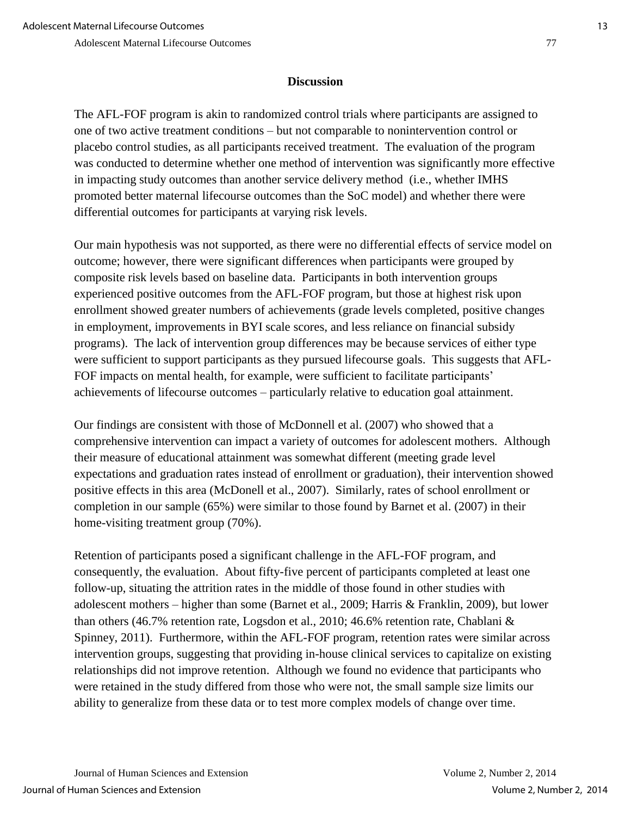# **Discussion**

The AFL-FOF program is akin to randomized control trials where participants are assigned to one of two active treatment conditions – but not comparable to nonintervention control or placebo control studies, as all participants received treatment. The evaluation of the program was conducted to determine whether one method of intervention was significantly more effective in impacting study outcomes than another service delivery method (i.e., whether IMHS promoted better maternal lifecourse outcomes than the SoC model) and whether there were differential outcomes for participants at varying risk levels.

Our main hypothesis was not supported, as there were no differential effects of service model on outcome; however, there were significant differences when participants were grouped by composite risk levels based on baseline data. Participants in both intervention groups experienced positive outcomes from the AFL-FOF program, but those at highest risk upon enrollment showed greater numbers of achievements (grade levels completed, positive changes in employment, improvements in BYI scale scores, and less reliance on financial subsidy programs). The lack of intervention group differences may be because services of either type were sufficient to support participants as they pursued lifecourse goals. This suggests that AFL-FOF impacts on mental health, for example, were sufficient to facilitate participants' achievements of lifecourse outcomes – particularly relative to education goal attainment.

Our findings are consistent with those of McDonnell et al. (2007) who showed that a comprehensive intervention can impact a variety of outcomes for adolescent mothers. Although their measure of educational attainment was somewhat different (meeting grade level expectations and graduation rates instead of enrollment or graduation), their intervention showed positive effects in this area (McDonell et al., 2007). Similarly, rates of school enrollment or completion in our sample (65%) were similar to those found by Barnet et al. (2007) in their home-visiting treatment group (70%).

Retention of participants posed a significant challenge in the AFL-FOF program, and consequently, the evaluation. About fifty-five percent of participants completed at least one follow-up, situating the attrition rates in the middle of those found in other studies with adolescent mothers – higher than some (Barnet et al., 2009; Harris & Franklin, 2009), but lower than others (46.7% retention rate, Logsdon et al., 2010; 46.6% retention rate, Chablani & Spinney, 2011). Furthermore, within the AFL-FOF program, retention rates were similar across intervention groups, suggesting that providing in-house clinical services to capitalize on existing relationships did not improve retention. Although we found no evidence that participants who were retained in the study differed from those who were not, the small sample size limits our ability to generalize from these data or to test more complex models of change over time.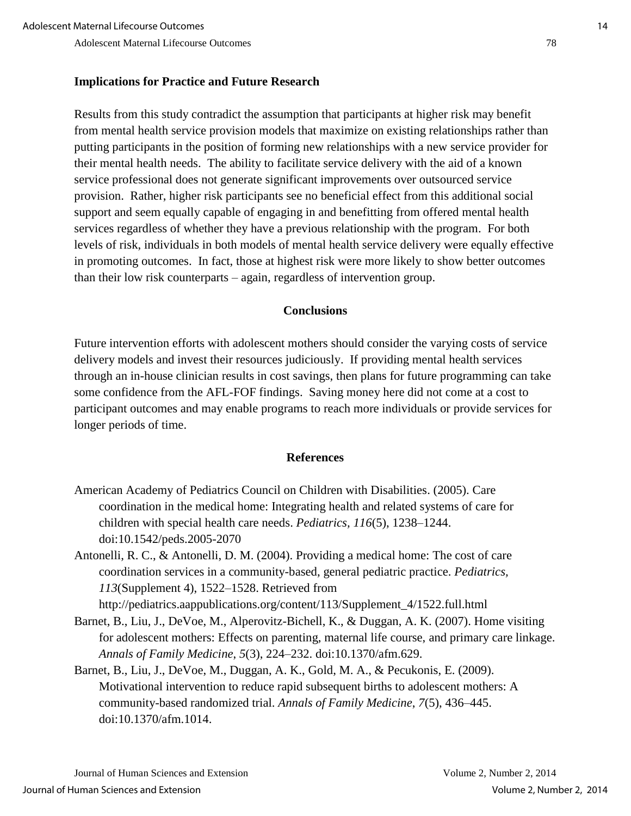# **Implications for Practice and Future Research**

Results from this study contradict the assumption that participants at higher risk may benefit from mental health service provision models that maximize on existing relationships rather than putting participants in the position of forming new relationships with a new service provider for their mental health needs. The ability to facilitate service delivery with the aid of a known service professional does not generate significant improvements over outsourced service provision. Rather, higher risk participants see no beneficial effect from this additional social support and seem equally capable of engaging in and benefitting from offered mental health services regardless of whether they have a previous relationship with the program. For both levels of risk, individuals in both models of mental health service delivery were equally effective in promoting outcomes. In fact, those at highest risk were more likely to show better outcomes than their low risk counterparts – again, regardless of intervention group.

#### **Conclusions**

Future intervention efforts with adolescent mothers should consider the varying costs of service delivery models and invest their resources judiciously. If providing mental health services through an in-house clinician results in cost savings, then plans for future programming can take some confidence from the AFL-FOF findings. Saving money here did not come at a cost to participant outcomes and may enable programs to reach more individuals or provide services for longer periods of time.

#### **References**

- American Academy of Pediatrics Council on Children with Disabilities. (2005). Care coordination in the medical home: Integrating health and related systems of care for children with special health care needs. *Pediatrics, 116*(5), 1238–1244. doi:10.1542/peds.2005-2070
- Antonelli, R. C., & Antonelli, D. M. (2004). Providing a medical home: The cost of care coordination services in a community-based, general pediatric practice. *Pediatrics, 113*(Supplement 4), 1522–1528. Retrieved from

http://pediatrics.aappublications.org/content/113/Supplement\_4/1522.full.html

- Barnet, B., Liu, J., DeVoe, M., Alperovitz-Bichell, K., & Duggan, A. K. (2007). Home visiting for adolescent mothers: Effects on parenting, maternal life course, and primary care linkage. *Annals of Family Medicine*, *5*(3), 224–232. doi:10.1370/afm.629.
- Barnet, B., Liu, J., DeVoe, M., Duggan, A. K., Gold, M. A., & Pecukonis, E. (2009). Motivational intervention to reduce rapid subsequent births to adolescent mothers: A community-based randomized trial. *Annals of Family Medicine*, *7*(5), 436–445. doi:10.1370/afm.1014.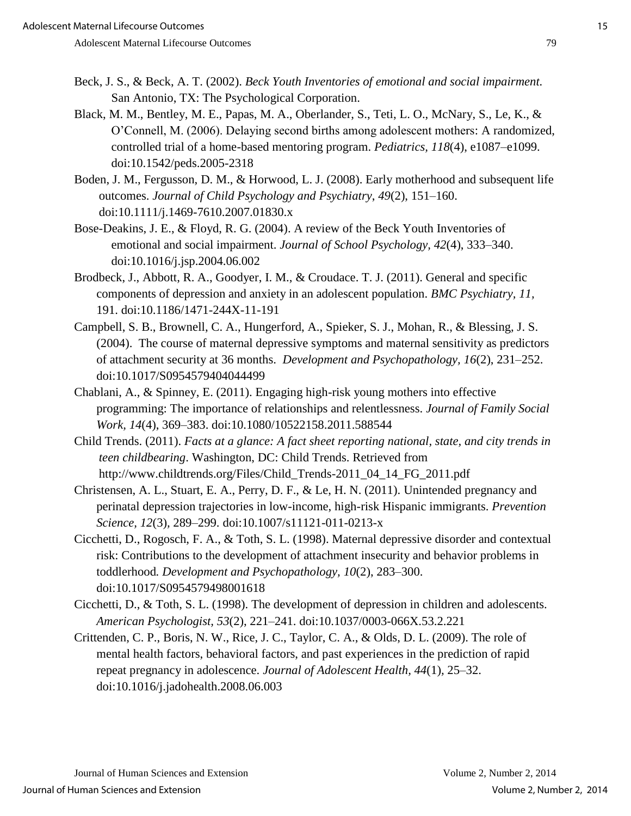- Beck, J. S., & Beck, A. T. (2002). *Beck Youth Inventories of emotional and social impairment.* San Antonio, TX: The Psychological Corporation.
- Black, M. M., Bentley, M. E., Papas, M. A., Oberlander, S., Teti, L. O., McNary, S., Le, K., & O'Connell, M. (2006). Delaying second births among adolescent mothers: A randomized, controlled trial of a home-based mentoring program. *Pediatrics, 118*(4), e1087–e1099. doi:10.1542/peds.2005-2318
- Boden, J. M., Fergusson, D. M., & Horwood, L. J. (2008). Early motherhood and subsequent life outcomes. *Journal of Child Psychology and Psychiatry*, *49*(2), 151–160. doi:10.1111/j.1469-7610.2007.01830.x
- Bose-Deakins, J. E., & Floyd, R. G. (2004). A review of the Beck Youth Inventories of emotional and social impairment. *Journal of School Psychology, 42*(4), 333–340. doi:10.1016/j.jsp.2004.06.002
- Brodbeck, J., Abbott, R. A., Goodyer, I. M., & Croudace. T. J. (2011). General and specific components of depression and anxiety in an adolescent population. *BMC Psychiatry, 11,* 191. doi:10.1186/1471-244X-11-191
- Campbell, S. B., Brownell, C. A., Hungerford, A., Spieker, S. J., Mohan, R., & Blessing, J. S. (2004). The course of maternal depressive symptoms and maternal sensitivity as predictors of attachment security at 36 months. *Development and Psychopathology, 16*(2), 231–252. doi:10.1017/S0954579404044499
- Chablani, A., & Spinney, E. (2011). Engaging high-risk young mothers into effective programming: The importance of relationships and relentlessness. *Journal of Family Social Work, 14*(4), 369–383. doi:10.1080/10522158.2011.588544
- Child Trends. (2011). *Facts at a glance: A fact sheet reporting national, state, and city trends in teen childbearing*. Washington, DC: Child Trends. Retrieved from http://www.childtrends.org/Files/Child\_Trends-2011\_04\_14\_FG\_2011.pdf
- Christensen, A. L., Stuart, E. A., Perry, D. F., & Le, H. N. (2011). Unintended pregnancy and perinatal depression trajectories in low-income, high-risk Hispanic immigrants. *Prevention Science, 12*(3)*,* 289–299. doi:10.1007/s11121-011-0213-x
- Cicchetti, D., Rogosch, F. A., & Toth, S. L. (1998). Maternal depressive disorder and contextual risk: Contributions to the development of attachment insecurity and behavior problems in toddlerhood*. Development and Psychopathology, 10*(2), 283–300. doi:10.1017/S0954579498001618
- Cicchetti, D., & Toth, S. L. (1998). The development of depression in children and adolescents. *American Psychologist, 53*(2), 221–241. doi:10.1037/0003-066X.53.2.221
- Crittenden, C. P., Boris, N. W., Rice, J. C., Taylor, C. A., & Olds, D. L. (2009). The role of mental health factors, behavioral factors, and past experiences in the prediction of rapid repeat pregnancy in adolescence. *Journal of Adolescent Health, 44*(1)*,* 25–32. doi:10.1016/j.jadohealth.2008.06.003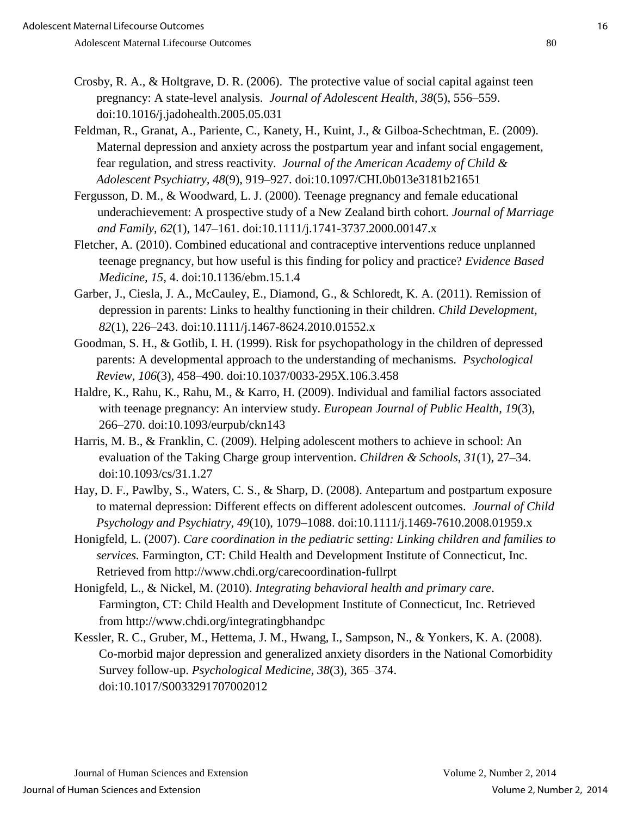- Crosby, R. A., & Holtgrave, D. R. (2006). The protective value of social capital against teen pregnancy: A state-level analysis. *Journal of Adolescent Health, 38*(5), 556–559. doi:10.1016/j.jadohealth.2005.05.031
- Feldman, R., Granat, A., Pariente, C., Kanety, H., Kuint, J., & Gilboa-Schechtman, E. (2009). Maternal depression and anxiety across the postpartum year and infant social engagement, fear regulation, and stress reactivity. *Journal of the American Academy of Child & Adolescent Psychiatry, 48*(9), 919–927. doi:10.1097/CHI.0b013e3181b21651
- Fergusson, D. M., & Woodward, L. J. (2000). Teenage pregnancy and female educational underachievement: A prospective study of a New Zealand birth cohort. *Journal of Marriage and Family*, *62*(1), 147–161. doi:10.1111/j.1741-3737.2000.00147.x
- Fletcher, A. (2010). Combined educational and contraceptive interventions reduce unplanned teenage pregnancy, but how useful is this finding for policy and practice? *Evidence Based Medicine, 15,* 4. doi:10.1136/ebm.15.1.4
- Garber, J., Ciesla, J. A., McCauley, E., Diamond, G., & Schloredt, K. A. (2011). Remission of depression in parents: Links to healthy functioning in their children. *Child Development, 82*(1), 226–243. doi:10.1111/j.1467-8624.2010.01552.x
- Goodman, S. H., & Gotlib, I. H. (1999). Risk for psychopathology in the children of depressed parents: A developmental approach to the understanding of mechanisms. *Psychological Review, 106*(3), 458–490. doi:10.1037/0033-295X.106.3.458
- Haldre, K., Rahu, K., Rahu, M., & Karro, H. (2009). Individual and familial factors associated with teenage pregnancy: An interview study. *European Journal of Public Health*, *19*(3), 266–270. doi:10.1093/eurpub/ckn143
- Harris, M. B., & Franklin, C. (2009). Helping adolescent mothers to achieve in school: An evaluation of the Taking Charge group intervention. *Children & Schools*, *31*(1), 27–34. doi:10.1093/cs/31.1.27
- Hay, D. F., Pawlby, S., Waters, C. S., & Sharp, D. (2008). Antepartum and postpartum exposure to maternal depression: Different effects on different adolescent outcomes. *Journal of Child Psychology and Psychiatry, 49*(10), 1079–1088. doi:10.1111/j.1469-7610.2008.01959.x
- Honigfeld, L. (2007). *Care coordination in the pediatric setting: Linking children and families to services.* Farmington, CT: Child Health and Development Institute of Connecticut, Inc. Retrieved from http://www.chdi.org/carecoordination-fullrpt
- Honigfeld, L., & Nickel, M. (2010). *Integrating behavioral health and primary care*. Farmington, CT: Child Health and Development Institute of Connecticut, Inc. Retrieved from http://www.chdi.org/integratingbhandpc
- Kessler, R. C., Gruber, M., Hettema, J. M., Hwang, I., Sampson, N., & Yonkers, K. A. (2008). Co-morbid major depression and generalized anxiety disorders in the National Comorbidity Survey follow-up. *Psychological Medicine, 38*(3)*,* 365–374. doi:10.1017/S0033291707002012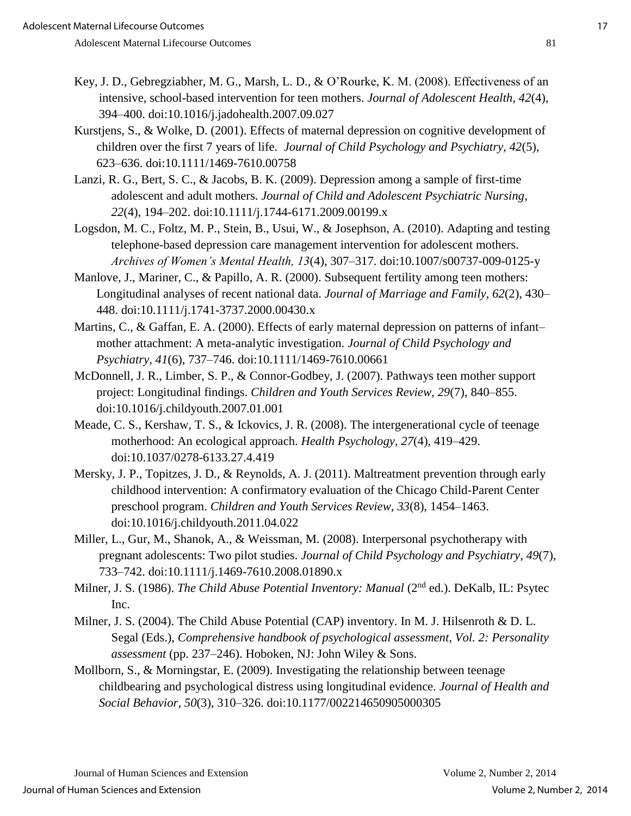- Key, J. D., Gebregziabher, M. G., Marsh, L. D., & O'Rourke, K. M. (2008). Effectiveness of an intensive, school-based intervention for teen mothers. *Journal of Adolescent Health, 42*(4), 394–400. doi:10.1016/j.jadohealth.2007.09.027
- Kurstjens, S., & Wolke, D. (2001). Effects of maternal depression on cognitive development of children over the first 7 years of life. *Journal of Child Psychology and Psychiatry, 42*(5), 623–636. doi:10.1111/1469-7610.00758
- Lanzi, R. G., Bert, S. C., & Jacobs, B. K. (2009). Depression among a sample of first-time adolescent and adult mothers. *Journal of Child and Adolescent Psychiatric Nursing*, *22*(4), 194–202. doi:10.1111/j.1744-6171.2009.00199.x
- Logsdon, M. C., Foltz, M. P., Stein, B., Usui, W., & Josephson, A. (2010). Adapting and testing telephone-based depression care management intervention for adolescent mothers. *Archives of Women's Mental Health, 13*(4), 307–317. doi:10.1007/s00737-009-0125-y
- Manlove, J., Mariner, C., & Papillo, A. R. (2000). Subsequent fertility among teen mothers: Longitudinal analyses of recent national data. *Journal of Marriage and Family, 62*(2), 430– 448. doi:10.1111/j.1741-3737.2000.00430.x
- Martins, C., & Gaffan, E. A. (2000). Effects of early maternal depression on patterns of infant– mother attachment: A meta-analytic investigation. *Journal of Child Psychology and Psychiatry, 41*(6), 737–746. doi:10.1111/1469-7610.00661
- McDonnell, J. R., Limber, S. P., & Connor-Godbey, J. (2007). Pathways teen mother support project: Longitudinal findings. *Children and Youth Services Review, 29*(7), 840–855. doi:10.1016/j.childyouth.2007.01.001
- Meade, C. S., Kershaw, T. S., & Ickovics, J. R. (2008). The intergenerational cycle of teenage motherhood: An ecological approach. *Health Psychology, 27*(4), 419–429. doi:10.1037/0278-6133.27.4.419
- Mersky, J. P., Topitzes, J. D., & Reynolds, A. J. (2011). Maltreatment prevention through early childhood intervention: A confirmatory evaluation of the Chicago Child-Parent Center preschool program. *Children and Youth Services Review, 33*(8), 1454–1463. doi:10.1016/j.childyouth.2011.04.022
- Miller, L., Gur, M., Shanok, A., & Weissman, M. (2008). Interpersonal psychotherapy with pregnant adolescents: Two pilot studies. *Journal of Child Psychology and Psychiatry*, *49*(7), 733–742. doi:10.1111/j.1469-7610.2008.01890.x
- Milner, J. S. (1986). *The Child Abuse Potential Inventory: Manual* (2nd ed.). DeKalb, IL: Psytec Inc.
- Milner, J. S. (2004). The Child Abuse Potential (CAP) inventory. In M. J. Hilsenroth & D. L. Segal (Eds.), *Comprehensive handbook of psychological assessment, Vol. 2: Personality assessment* (pp. 237–246). Hoboken, NJ: John Wiley & Sons.
- Mollborn, S., & Morningstar, E. (2009). Investigating the relationship between teenage childbearing and psychological distress using longitudinal evidence. *Journal of Health and Social Behavior*, *50*(3), 310–326. doi:10.1177/002214650905000305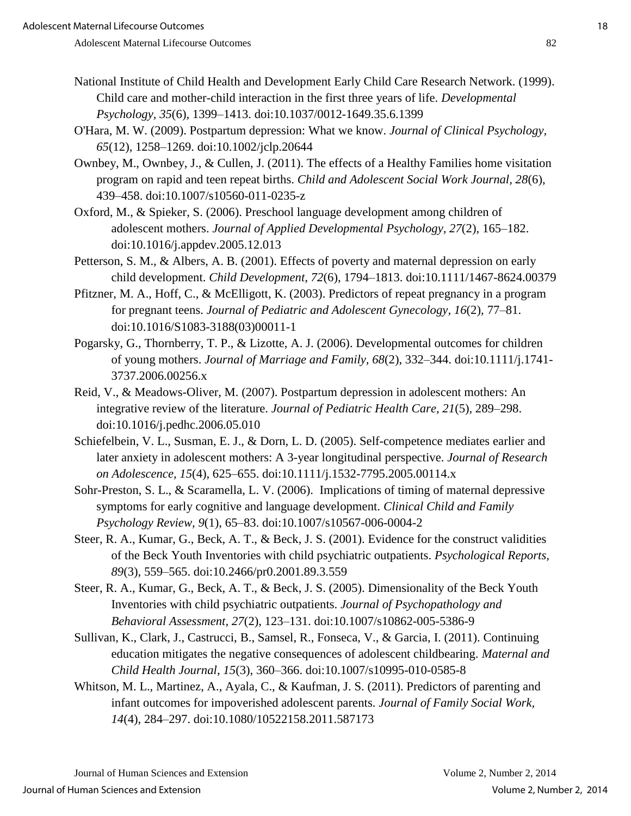- National Institute of Child Health and Development Early Child Care Research Network. (1999). Child care and mother-child interaction in the first three years of life. *Developmental Psychology, 35*(6), 1399–1413. doi:10.1037/0012-1649.35.6.1399
- O'Hara, M. W. (2009). Postpartum depression: What we know. *Journal of Clinical Psychology, 65*(12), 1258–1269. doi:10.1002/jclp.20644
- Ownbey, M., Ownbey, J., & Cullen, J. (2011). The effects of a Healthy Families home visitation program on rapid and teen repeat births. *Child and Adolescent Social Work Journal, 28*(6), 439–458. doi:10.1007/s10560-011-0235-z
- Oxford, M., & Spieker, S. (2006). Preschool language development among children of adolescent mothers. *Journal of Applied Developmental Psychology, 27*(2), 165–182. doi:10.1016/j.appdev.2005.12.013
- Petterson, S. M., & Albers, A. B. (2001). Effects of poverty and maternal depression on early child development. *Child Development, 72*(6)*,* 1794–1813. doi:10.1111/1467-8624.00379
- Pfitzner, M. A., Hoff, C., & McElligott, K. (2003). Predictors of repeat pregnancy in a program for pregnant teens. *Journal of Pediatric and Adolescent Gynecology, 16*(2)*,* 77–81. doi:10.1016/S1083-3188(03)00011-1
- Pogarsky, G., Thornberry, T. P., & Lizotte, A. J. (2006). Developmental outcomes for children of young mothers. *Journal of Marriage and Family, 68*(2), 332–344. doi:10.1111/j.1741- 3737.2006.00256.x
- Reid, V., & Meadows-Oliver, M. (2007). Postpartum depression in adolescent mothers: An integrative review of the literature. *Journal of Pediatric Health Care, 21*(5)*,* 289–298. doi:10.1016/j.pedhc.2006.05.010
- Schiefelbein, V. L., Susman, E. J., & Dorn, L. D. (2005). Self-competence mediates earlier and later anxiety in adolescent mothers: A 3-year longitudinal perspective. *Journal of Research on Adolescence, 15*(4)*,* 625–655. doi:10.1111/j.1532-7795.2005.00114.x
- Sohr-Preston, S. L., & Scaramella, L. V. (2006). Implications of timing of maternal depressive symptoms for early cognitive and language development. *Clinical Child and Family Psychology Review, 9*(1), 65–83. doi:10.1007/s10567-006-0004-2
- Steer, R. A., Kumar, G., Beck, A. T., & Beck, J. S. (2001). Evidence for the construct validities of the Beck Youth Inventories with child psychiatric outpatients. *Psychological Reports, 89*(3), 559–565. doi:10.2466/pr0.2001.89.3.559
- Steer, R. A., Kumar, G., Beck, A. T., & Beck, J. S. (2005). Dimensionality of the Beck Youth Inventories with child psychiatric outpatients. *Journal of Psychopathology and Behavioral Assessment, 27*(2), 123–131. doi:10.1007/s10862-005-5386-9
- Sullivan, K., Clark, J., Castrucci, B., Samsel, R., Fonseca, V., & Garcia, I. (2011). Continuing education mitigates the negative consequences of adolescent childbearing. *Maternal and Child Health Journal, 15*(3), 360–366. doi:10.1007/s10995-010-0585-8
- Whitson, M. L., Martinez, A., Ayala, C., & Kaufman, J. S. (2011). Predictors of parenting and infant outcomes for impoverished adolescent parents. *Journal of Family Social Work, 14*(4), 284–297. doi:10.1080/10522158.2011.587173